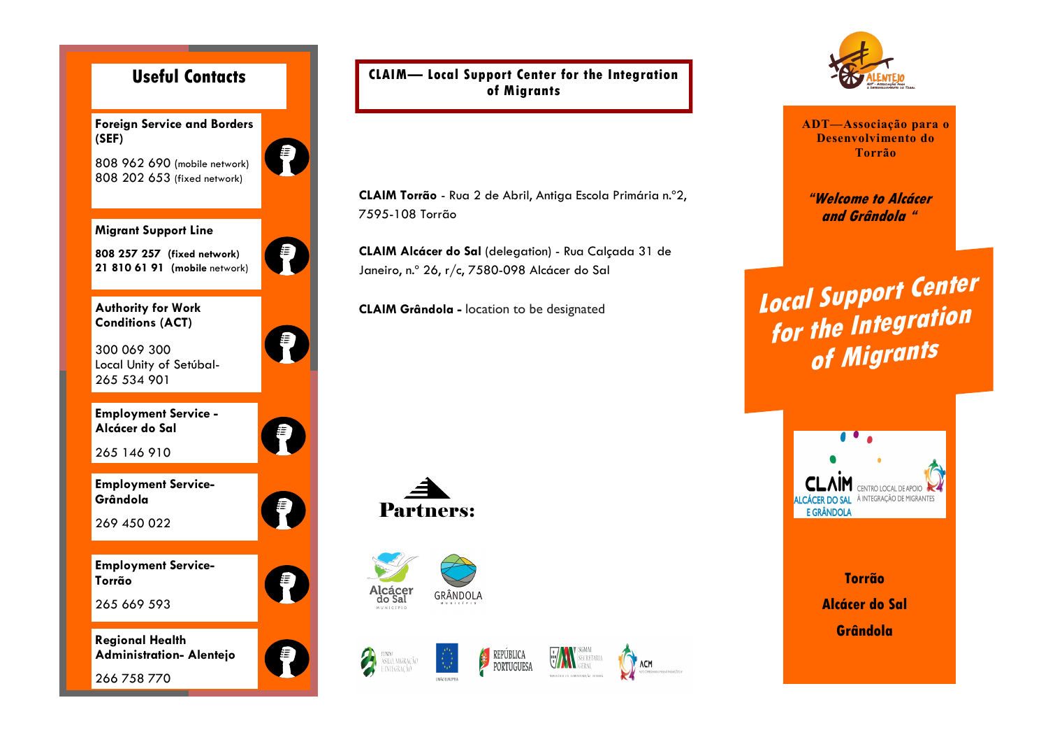

**CLAIM— Local Support Center for the Integration of Migrants**

**CLAIM Torrão** - Rua 2 de Abril, Antiga Escola Primária n.º2, 7595-108 Torrão

**CLAIM Alcácer do Sal** (delegation) - Rua Calçada 31 de Janeiro, n.º 26, r/c, 7580-098 Alcácer do Sal

**CLAIM Grândola -** location to be designated





2

FUNDO<br>ASILO, MIGRAÇÃO<br>E INTEGRAÇÃO







**ADT—Associação para o Desenvolvimento do Torrão**

**"Welcome to Alcácer and Grândola "**

**Local Support Center for the Integration of Migrants**



**Torrão Alcácer do Sal Grândola**